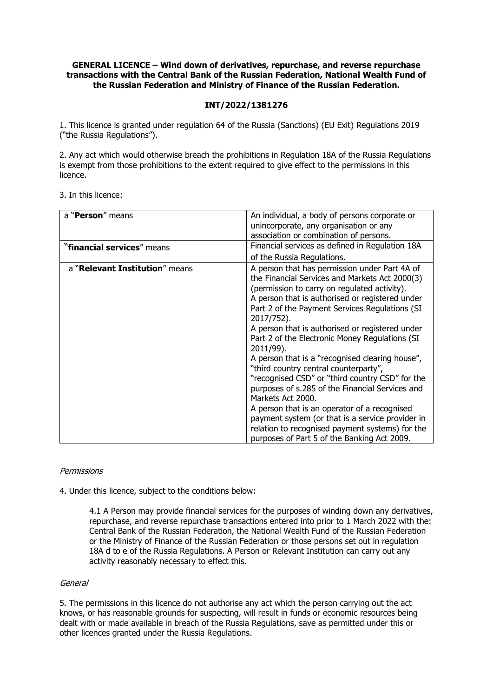## **GENERAL LICENCE – Wind down of derivatives, repurchase, and reverse repurchase transactions with the Central Bank of the Russian Federation, National Wealth Fund of the Russian Federation and Ministry of Finance of the Russian Federation.**

# **INT/2022/1381276**

1. This licence is granted under regulation 64 of the Russia (Sanctions) (EU Exit) Regulations 2019 ("the Russia Regulations").

2. Any act which would otherwise breach the prohibitions in Regulation 18A of the Russia Regulations is exempt from those prohibitions to the extent required to give effect to the permissions in this licence.

### 3. In this licence:

| a " <b>Person</b> " means      | An individual, a body of persons corporate or<br>unincorporate, any organisation or any                                                                                                                                                                                                                                                                                                                                                                                                                                                                                                                                                                                                                                                                                                                           |
|--------------------------------|-------------------------------------------------------------------------------------------------------------------------------------------------------------------------------------------------------------------------------------------------------------------------------------------------------------------------------------------------------------------------------------------------------------------------------------------------------------------------------------------------------------------------------------------------------------------------------------------------------------------------------------------------------------------------------------------------------------------------------------------------------------------------------------------------------------------|
|                                | association or combination of persons.                                                                                                                                                                                                                                                                                                                                                                                                                                                                                                                                                                                                                                                                                                                                                                            |
| "financial services" means     | Financial services as defined in Regulation 18A                                                                                                                                                                                                                                                                                                                                                                                                                                                                                                                                                                                                                                                                                                                                                                   |
|                                | of the Russia Regulations.                                                                                                                                                                                                                                                                                                                                                                                                                                                                                                                                                                                                                                                                                                                                                                                        |
| a "Relevant Institution" means | A person that has permission under Part 4A of<br>the Financial Services and Markets Act 2000(3)<br>(permission to carry on regulated activity).<br>A person that is authorised or registered under<br>Part 2 of the Payment Services Regulations (SI<br>2017/752).<br>A person that is authorised or registered under<br>Part 2 of the Electronic Money Regulations (SI<br>2011/99).<br>A person that is a "recognised clearing house",<br>"third country central counterparty",<br>"recognised CSD" or "third country CSD" for the<br>purposes of s.285 of the Financial Services and<br>Markets Act 2000.<br>A person that is an operator of a recognised<br>payment system (or that is a service provider in<br>relation to recognised payment systems) for the<br>purposes of Part 5 of the Banking Act 2009. |

### Permissions

4. Under this licence, subject to the conditions below:

4.1 A Person may provide financial services for the purposes of winding down any derivatives, repurchase, and reverse repurchase transactions entered into prior to 1 March 2022 with the: Central Bank of the Russian Federation, the National Wealth Fund of the Russian Federation or the Ministry of Finance of the Russian Federation or those persons set out in regulation 18A d to e of the Russia Regulations. A Person or Relevant Institution can carry out any activity reasonably necessary to effect this.

#### General

5. The permissions in this licence do not authorise any act which the person carrying out the act knows, or has reasonable grounds for suspecting, will result in funds or economic resources being dealt with or made available in breach of the Russia Regulations, save as permitted under this or other licences granted under the Russia Regulations.